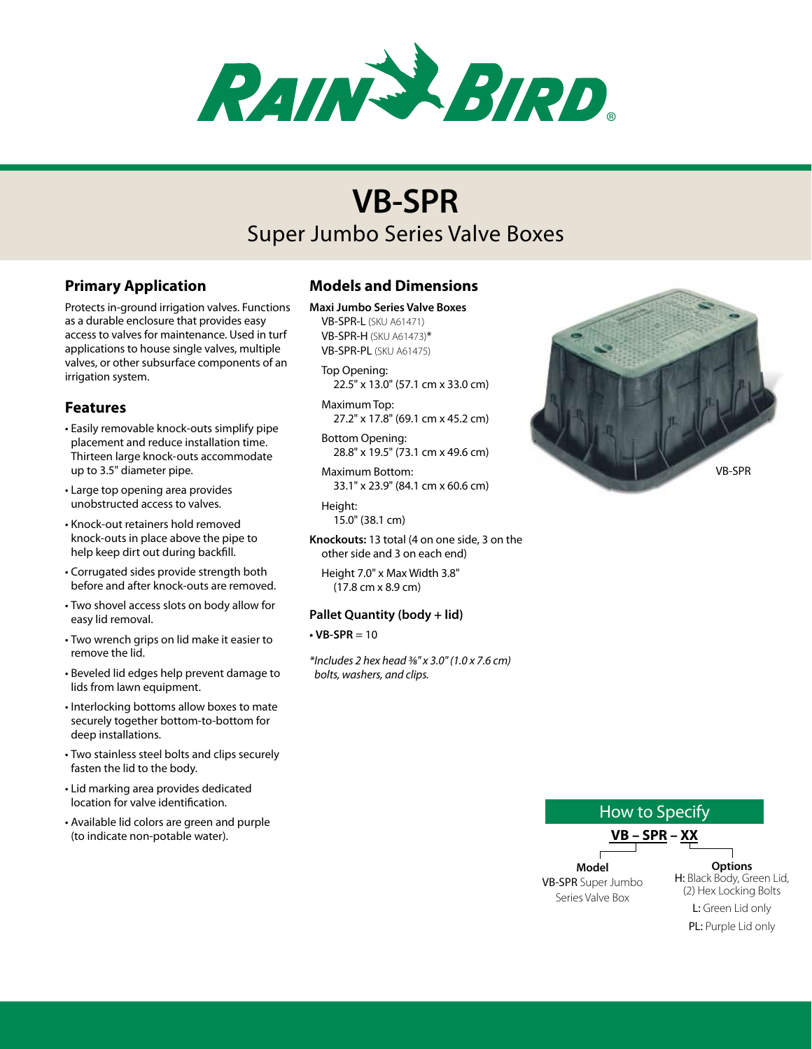

# Super Jumbo Series Valve Boxes **VB-SPR**

# **Primary Application**

Protects in-ground irrigation valves. Functions as a durable enclosure that provides easy access to valves for maintenance. Used in turf applications to house single valves, multiple valves, or other subsurface components of an irrigation system.

## **Features**

- • Easily removable knock-outs simplify pipe placement and reduce installation time. Thirteen large knock-outs accommodate up to 3.5" diameter pipe.
- • Large top opening area provides unobstructed access to valves.
- • Knock-out retainers hold removed knock-outs in place above the pipe to help keep dirt out during backfill.
- • Corrugated sides provide strength both before and after knock-outs are removed.
- Two shovel access slots on body allow for easy lid removal.
- Two wrench grips on lid make it easier to remove the lid.
- • Beveled lid edges help prevent damage to lids from lawn equipment.
- • Interlocking bottoms allow boxes to mate securely together bottom-to-bottom for deep installations.
- • Two stainless steel bolts and clips securely fasten the lid to the body.
- • Lid marking area provides dedicated location for valve identification.
- • Available lid colors are green and purple (to indicate non-potable water).

# **Models and Dimensions**

**Maxi Jumbo Series Valve Boxes**

VB-SPR-L (SKU A61471) VB-SPR-H (SKU A61473)\* VB-SPR-PL (SKU A61475)

- Top Opening: 22.5" x 13.0" (57.1 cm x 33.0 cm)
- Maximum Top: 27.2" x 17.8" (69.1 cm x 45.2 cm)
- Bottom Opening: 28.8" x 19.5" (73.1 cm x 49.6 cm)
- Maximum Bottom: 33.1" x 23.9" (84.1 cm x 60.6 cm)
- Height: 15.0" (38.1 cm)
- **Knockouts:** 13 total (4 on one side, 3 on the other side and 3 on each end)
	- Height 7.0" x Max Width 3.8" (17.8 cm x 8.9 cm)

#### **Pallet Quantity (body + lid)**

 $\cdot$  VB-SPR = 10

*\*Includes 2 hex head 3⁄8" x 3.0" (1.0 x 7.6 cm) bolts, washers, and clips.*